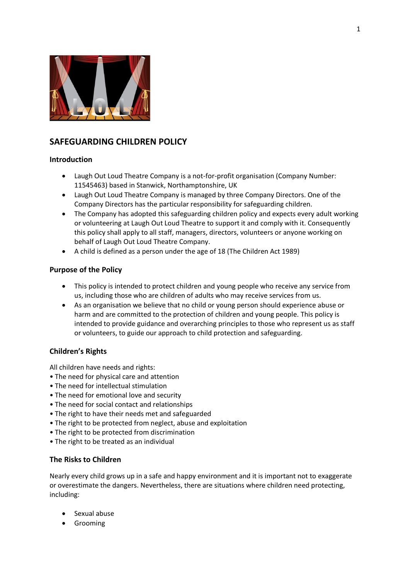

# **SAFEGUARDING CHILDREN POLICY**

# **Introduction**

- Laugh Out Loud Theatre Company is a not-for-profit organisation (Company Number: 11545463) based in Stanwick, Northamptonshire, UK
- Laugh Out Loud Theatre Company is managed by three Company Directors. One of the Company Directors has the particular responsibility for safeguarding children.
- The Company has adopted this safeguarding children policy and expects every adult working or volunteering at Laugh Out Loud Theatre to support it and comply with it. Consequently this policy shall apply to all staff, managers, directors, volunteers or anyone working on behalf of Laugh Out Loud Theatre Company.
- A child is defined as a person under the age of 18 (The Children Act 1989)

# **Purpose of the Policy**

- This policy is intended to protect children and young people who receive any service from us, including those who are children of adults who may receive services from us.
- As an organisation we believe that no child or young person should experience abuse or harm and are committed to the protection of children and young people. This policy is intended to provide guidance and overarching principles to those who represent us as staff or volunteers, to guide our approach to child protection and safeguarding.

# **Children's Rights**

All children have needs and rights:

- The need for physical care and attention
- The need for intellectual stimulation
- The need for emotional love and security
- The need for social contact and relationships
- The right to have their needs met and safeguarded
- The right to be protected from neglect, abuse and exploitation
- The right to be protected from discrimination
- The right to be treated as an individual

# **The Risks to Children**

Nearly every child grows up in a safe and happy environment and it is important not to exaggerate or overestimate the dangers. Nevertheless, there are situations where children need protecting, including:

- Sexual abuse
- Grooming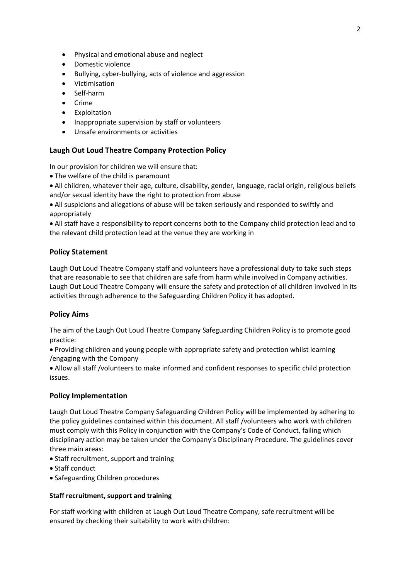- Physical and emotional abuse and neglect
- Domestic violence
- Bullying, cyber-bullying, acts of violence and aggression
- Victimisation
- Self-harm
- Crime
- **•** Exploitation
- Inappropriate supervision by staff or volunteers
- Unsafe environments or activities

# **Laugh Out Loud Theatre Company Protection Policy**

In our provision for children we will ensure that:

- The welfare of the child is paramount
- All children, whatever their age, culture, disability, gender, language, racial origin, religious beliefs and/or sexual identity have the right to protection from abuse

 All suspicions and allegations of abuse will be taken seriously and responded to swiftly and appropriately

 All staff have a responsibility to report concerns both to the Company child protection lead and to the relevant child protection lead at the venue they are working in

# **Policy Statement**

Laugh Out Loud Theatre Company staff and volunteers have a professional duty to take such steps that are reasonable to see that children are safe from harm while involved in Company activities. Laugh Out Loud Theatre Company will ensure the safety and protection of all children involved in its activities through adherence to the Safeguarding Children Policy it has adopted.

# **Policy Aims**

The aim of the Laugh Out Loud Theatre Company Safeguarding Children Policy is to promote good practice:

 Providing children and young people with appropriate safety and protection whilst learning /engaging with the Company

 Allow all staff /volunteers to make informed and confident responses to specific child protection issues.

# **Policy Implementation**

Laugh Out Loud Theatre Company Safeguarding Children Policy will be implemented by adhering to the policy guidelines contained within this document. All staff /volunteers who work with children must comply with this Policy in conjunction with the Company's Code of Conduct, failing which disciplinary action may be taken under the Company's Disciplinary Procedure. The guidelines cover three main areas:

- Staff recruitment, support and training
- Staff conduct
- Safeguarding Children procedures

# **Staff recruitment, support and training**

For staff working with children at Laugh Out Loud Theatre Company, safe recruitment will be ensured by checking their suitability to work with children: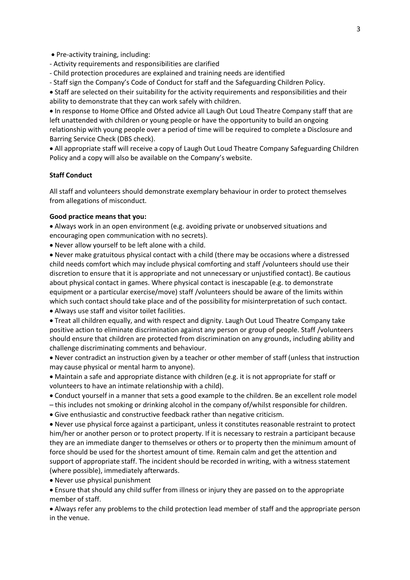• Pre-activity training, including:

- Activity requirements and responsibilities are clarified
- Child protection procedures are explained and training needs are identified
- Staff sign the Company's Code of Conduct for staff and the Safeguarding Children Policy.

 Staff are selected on their suitability for the activity requirements and responsibilities and their ability to demonstrate that they can work safely with children.

 In response to Home Office and Ofsted advice all Laugh Out Loud Theatre Company staff that are left unattended with children or young people or have the opportunity to build an ongoing relationship with young people over a period of time will be required to complete a Disclosure and Barring Service Check (DBS check).

 All appropriate staff will receive a copy of Laugh Out Loud Theatre Company Safeguarding Children Policy and a copy will also be available on the Company's website.

#### **Staff Conduct**

All staff and volunteers should demonstrate exemplary behaviour in order to protect themselves from allegations of misconduct.

### **Good practice means that you:**

 Always work in an open environment (e.g. avoiding private or unobserved situations and encouraging open communication with no secrets).

Never allow yourself to be left alone with a child.

 Never make gratuitous physical contact with a child (there may be occasions where a distressed child needs comfort which may include physical comforting and staff /volunteers should use their discretion to ensure that it is appropriate and not unnecessary or unjustified contact). Be cautious about physical contact in games. Where physical contact is inescapable (e.g. to demonstrate equipment or a particular exercise/move) staff /volunteers should be aware of the limits within which such contact should take place and of the possibility for misinterpretation of such contact.

Always use staff and visitor toilet facilities.

 Treat all children equally, and with respect and dignity. Laugh Out Loud Theatre Company take positive action to eliminate discrimination against any person or group of people. Staff /volunteers should ensure that children are protected from discrimination on any grounds, including ability and challenge discriminating comments and behaviour.

 Never contradict an instruction given by a teacher or other member of staff (unless that instruction may cause physical or mental harm to anyone).

 Maintain a safe and appropriate distance with children (e.g. it is not appropriate for staff or volunteers to have an intimate relationship with a child).

- Conduct yourself in a manner that sets a good example to the children. Be an excellent role model
- this includes not smoking or drinking alcohol in the company of/whilst responsible for children.
- Give enthusiastic and constructive feedback rather than negative criticism.

 Never use physical force against a participant, unless it constitutes reasonable restraint to protect him/her or another person or to protect property. If it is necessary to restrain a participant because they are an immediate danger to themselves or others or to property then the minimum amount of force should be used for the shortest amount of time. Remain calm and get the attention and support of appropriate staff. The incident should be recorded in writing, with a witness statement (where possible), immediately afterwards.

Never use physical punishment

 Ensure that should any child suffer from illness or injury they are passed on to the appropriate member of staff.

 Always refer any problems to the child protection lead member of staff and the appropriate person in the venue.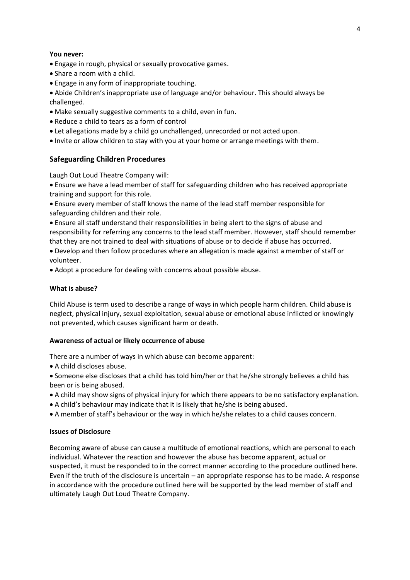#### **You never:**

- Engage in rough, physical or sexually provocative games.
- Share a room with a child.
- Engage in any form of inappropriate touching.

 Abide Children's inappropriate use of language and/or behaviour. This should always be challenged.

- Make sexually suggestive comments to a child, even in fun.
- Reduce a child to tears as a form of control
- Let allegations made by a child go unchallenged, unrecorded or not acted upon.
- Invite or allow children to stay with you at your home or arrange meetings with them.

# **Safeguarding Children Procedures**

Laugh Out Loud Theatre Company will:

 Ensure we have a lead member of staff for safeguarding children who has received appropriate training and support for this role.

 Ensure every member of staff knows the name of the lead staff member responsible for safeguarding children and their role.

 Ensure all staff understand their responsibilities in being alert to the signs of abuse and responsibility for referring any concerns to the lead staff member. However, staff should remember that they are not trained to deal with situations of abuse or to decide if abuse has occurred.

 Develop and then follow procedures where an allegation is made against a member of staff or volunteer.

Adopt a procedure for dealing with concerns about possible abuse.

#### **What is abuse?**

Child Abuse is term used to describe a range of ways in which people harm children. Child abuse is neglect, physical injury, sexual exploitation, sexual abuse or emotional abuse inflicted or knowingly not prevented, which causes significant harm or death.

#### **Awareness of actual or likely occurrence of abuse**

There are a number of ways in which abuse can become apparent:

A child discloses abuse.

 Someone else discloses that a child has told him/her or that he/she strongly believes a child has been or is being abused.

- A child may show signs of physical injury for which there appears to be no satisfactory explanation.
- A child's behaviour may indicate that it is likely that he/she is being abused.
- A member of staff's behaviour or the way in which he/she relates to a child causes concern.

#### **Issues of Disclosure**

Becoming aware of abuse can cause a multitude of emotional reactions, which are personal to each individual. Whatever the reaction and however the abuse has become apparent, actual or suspected, it must be responded to in the correct manner according to the procedure outlined here. Even if the truth of the disclosure is uncertain – an appropriate response has to be made. A response in accordance with the procedure outlined here will be supported by the lead member of staff and ultimately Laugh Out Loud Theatre Company.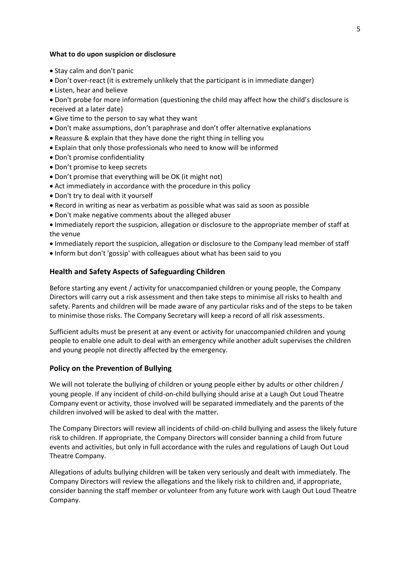#### **What to do upon suspicion or disclosure**

- Stay calm and don't panic
- Don't over-react (it is extremely unlikely that the participant is in immediate danger)
- Listen, hear and believe
- Don't probe for more information (questioning the child may affect how the child's disclosure is received at a later date)
- Give time to the person to say what they want
- Don't make assumptions, don't paraphrase and don't offer alternative explanations
- Reassure & explain that they have done the right thing in telling you
- Explain that only those professionals who need to know will be informed
- Don't promise confidentiality
- Don't promise to keep secrets
- Don't promise that everything will be OK (it might not)
- Act immediately in accordance with the procedure in this policy
- Don't try to deal with it yourself
- Record in writing as near as verbatim as possible what was said as soon as possible
- Don't make negative comments about the alleged abuser
- Immediately report the suspicion, allegation or disclosure to the appropriate member of staff at the venue
- Immediately report the suspicion, allegation or disclosure to the Company lead member of staff
- Inform but don't 'gossip' with colleagues about what has been said to you

#### **Health and Safety Aspects of Safeguarding Children**

Before starting any event / activity for unaccompanied children or young people, the Company Directors will carry out a risk assessment and then take steps to minimise all risks to health and safety. Parents and children will be made aware of any particular risks and of the steps to be taken to minimise those risks. The Company Secretary will keep a record of all risk assessments.

Sufficient adults must be present at any event or activity for unaccompanied children and young people to enable one adult to deal with an emergency while another adult supervises the children and young people not directly affected by the emergency.

#### **Policy on the Prevention of Bullying**

We will not tolerate the bullying of children or young people either by adults or other children / young people. If any incident of child-on-child bullying should arise at a Laugh Out Loud Theatre Company event or activity, those involved will be separated immediately and the parents of the children involved will be asked to deal with the matter.

The Company Directors will review all incidents of child-on-child bullying and assess the likely future risk to children. If appropriate, the Company Directors will consider banning a child from future events and activities, but only in full accordance with the rules and regulations of Laugh Out Loud Theatre Company.

Allegations of adults bullying children will be taken very seriously and dealt with immediately. The Company Directors will review the allegations and the likely risk to children and, if appropriate, consider banning the staff member or volunteer from any future work with Laugh Out Loud Theatre Company.